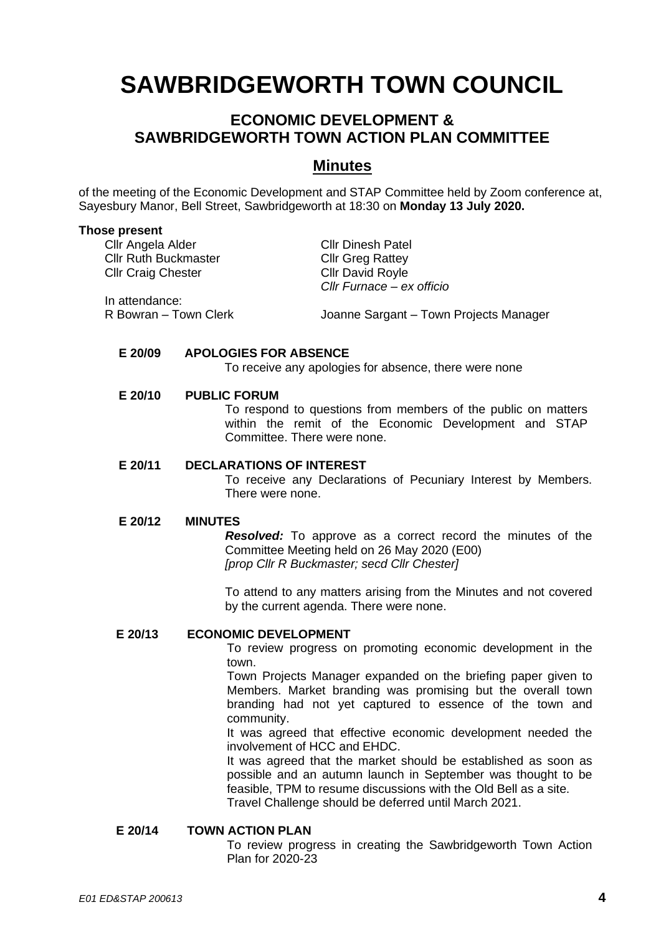# **SAWBRIDGEWORTH TOWN COUNCIL**

# **ECONOMIC DEVELOPMENT & SAWBRIDGEWORTH TOWN ACTION PLAN COMMITTEE**

# **Minutes**

of the meeting of the Economic Development and STAP Committee held by Zoom conference at, Sayesbury Manor, Bell Street, Sawbridgeworth at 18:30 on **Monday 13 July 2020.**

#### **Those present**

Cllr Angela Alder Cllr Dinesh Patel Cllr Ruth Buckmaster Cllr Greg Rattey Cllr Craig Chester Cllr David Royle

*Cllr Furnace – ex officio*

In attendance:

R Bowran – Town Clerk Joanne Sargant – Town Projects Manager

#### **E 20/09 APOLOGIES FOR ABSENCE**

To receive any apologies for absence, there were none

## **E 20/10 PUBLIC FORUM**

To respond to questions from members of the public on matters within the remit of the Economic Development and STAP Committee. There were none.

#### **E 20/11 DECLARATIONS OF INTEREST**

To receive any Declarations of Pecuniary Interest by Members. There were none.

#### **E 20/12 MINUTES**

*Resolved:* To approve as a correct record the minutes of the Committee Meeting held on 26 May 2020 (E00) *[prop Cllr R Buckmaster; secd Cllr Chester]*

To attend to any matters arising from the Minutes and not covered by the current agenda. There were none.

# **E 20/13 ECONOMIC DEVELOPMENT**

To review progress on promoting economic development in the town.

Town Projects Manager expanded on the briefing paper given to Members. Market branding was promising but the overall town branding had not yet captured to essence of the town and community.

It was agreed that effective economic development needed the involvement of HCC and EHDC.

It was agreed that the market should be established as soon as possible and an autumn launch in September was thought to be feasible, TPM to resume discussions with the Old Bell as a site. Travel Challenge should be deferred until March 2021.

#### **E 20/14 TOWN ACTION PLAN**

To review progress in creating the Sawbridgeworth Town Action Plan for 2020-23